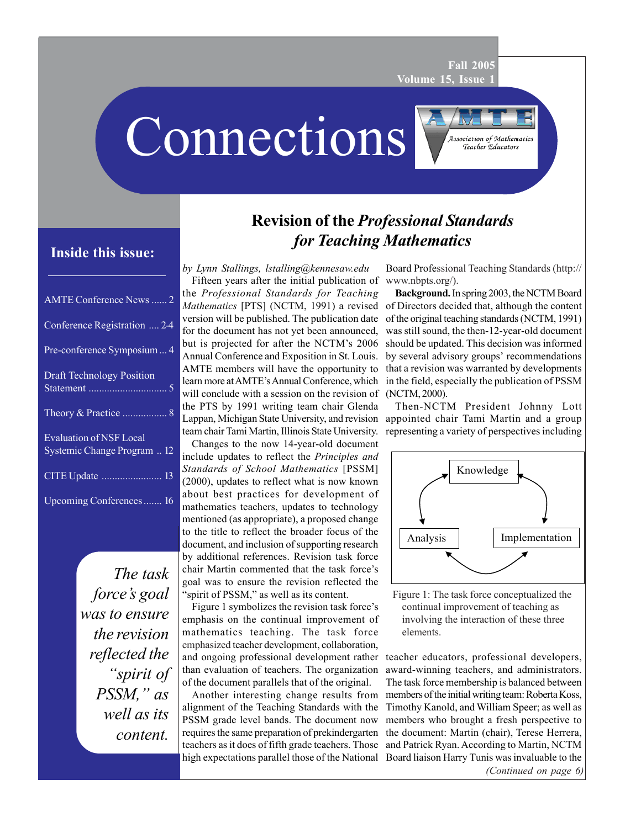**Fall 2005 Volume 15, Issue 1**

Connections

# **Inside this issue:**

| <b>AMTE</b> Conference News  2                                |
|---------------------------------------------------------------|
| Conference Registration  2-4                                  |
| Pre-conference Symposium  4                                   |
| <b>Draft Technology Position</b>                              |
|                                                               |
| <b>Evaluation of NSF Local</b><br>Systemic Change Program  12 |
|                                                               |
| Upcoming Conferences  16                                      |

*The task force's goal was to ensure the revision reflected the "spirit of PSSM," as well as its content.*

# **Revision of the** *Professional Standards for Teaching Mathematics*

*by Lynn Stallings, lstalling@kennesaw.edu* Fifteen years after the initial publication of the *Professional Standards for Teaching Mathematics* [PTS] (NCTM, 1991) a revised version will be published. The publication date for the document has not yet been announced, but is projected for after the NCTM's 2006 Annual Conference and Exposition in St. Louis. AMTE members will have the opportunity to learn more at AMTE's Annual Conference, which will conclude with a session on the revision of the PTS by 1991 writing team chair Glenda Lappan, Michigan State University, and revision team chair Tami Martin, Illinois State University.

Changes to the now 14-year-old document include updates to reflect the *Principles and Standards of School Mathematics* [PSSM] (2000), updates to reflect what is now known about best practices for development of mathematics teachers, updates to technology mentioned (as appropriate), a proposed change to the title to reflect the broader focus of the document, and inclusion of supporting research by additional references. Revision task force chair Martin commented that the task force's goal was to ensure the revision reflected the 'spirit of PSSM," as well as its content.

Figure 1 symbolizes the revision task force's emphasis on the continual improvement of mathematics teaching. The task force emphasized teacher development, collaboration, and ongoing professional development rather than evaluation of teachers. The organization of the document parallels that of the original.

Another interesting change results from alignment of the Teaching Standards with the PSSM grade level bands. The document now requires the same preparation of prekindergarten teachers as it does of fifth grade teachers. Those high expectations parallel those of the National

Board Professional Teaching Standards (http:// www.nbpts.org/).

**Association of Mathematics** Teacher Educators

**Background.** In spring 2003, the NCTM Board of Directors decided that, although the content of the original teaching standards (NCTM, 1991) was still sound, the then-12-year-old document should be updated. This decision was informed by several advisory groups' recommendations that a revision was warranted by developments in the field, especially the publication of PSSM (NCTM, 2000).

Then-NCTM President Johnny Lott appointed chair Tami Martin and a group representing a variety of perspectives including



Figure 1: The task force conceptualized the continual improvement of teaching as involving the interaction of these three elements.

*(Continued on page 6)* teacher educators, professional developers, award-winning teachers, and administrators. The task force membership is balanced between members of the initial writing team: Roberta Koss, Timothy Kanold, and William Speer; as well as members who brought a fresh perspective to the document: Martin (chair), Terese Herrera, and Patrick Ryan. According to Martin, NCTM Board liaison Harry Tunis was invaluable to the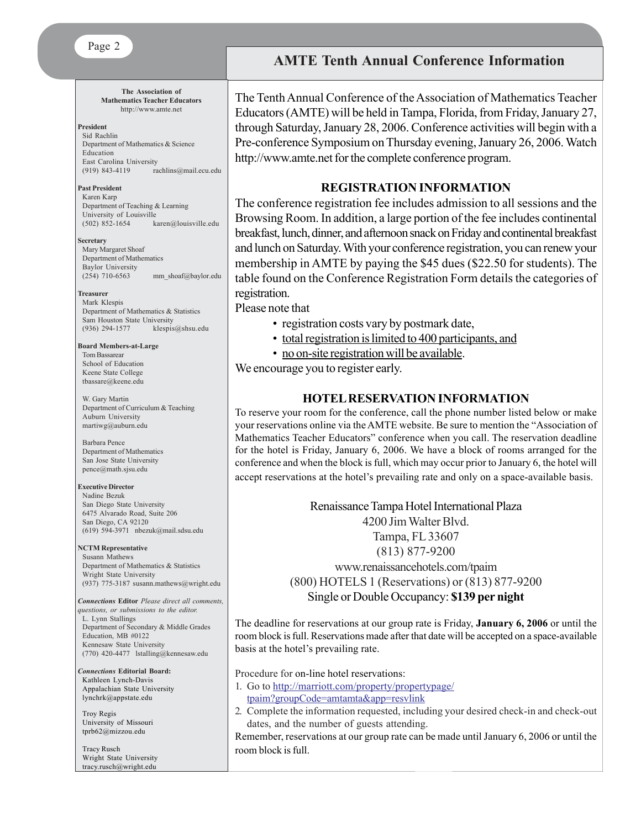Page 2

**The Association of Mathematics Teacher Educators** http://www.amte.net

#### **President**

Sid Rachlin Department of Mathematics & Science Education East Carolina University<br>(919) 843-4119 ra rachlins@mail.ecu.edu

#### **Past President**

Karen Karp Department of Teaching & Learning University of Louisville<br>(502) 852-1654 ka karen@louisville.edu

#### **Secretary**

Mary Margaret Shoaf Department of Mathematics Baylor University (254) 710-6563 mm\_shoaf@baylor.edu

#### **Treasurer**

Mark Klespis Department of Mathematics & Statistics Sam Houston State University<br>(936) 294-1577 klesnis klespis@shsu.edu

**Board Members-at-Large** Tom Bassarear School of Education Keene State College tbassare@keene.edu

W. Gary Martin Department of Curriculum & Teaching Auburn University martiwg@auburn.edu

Barbara Pence Department of Mathematics San Jose State University pence@math.sjsu.edu

**Executive Director** Nadine Bezuk San Diego State University 6475 Alvarado Road, Suite 206 San Diego, CA 92120 (619) 594-3971 nbezuk@mail.sdsu.edu

#### **NCTM Representative**

Susann Mathews Department of Mathematics & Statistics Wright State University (937) 775-3187 susann.mathews@wright.edu

*Connections* **Editor** *Please direct all comments, questions, or submissions to the editor.* L. Lynn Stallings Department of Secondary & Middle Grades Education, MB #0122 Kennesaw State University (770) 420-4477 lstalling@kennesaw.edu

*Connections* **Editorial Board:** Kathleen Lynch-Davis Appalachian State University lynchrk@appstate.edu

Troy Regis University of Missouri tprb62@mizzou.edu

Tracy Rusch Wright State University tracy.rusch@wright.edu

### **AMTE Tenth Annual Conference Information**

The Tenth Annual Conference of the Association of Mathematics Teacher Educators (AMTE) will be held in Tampa, Florida, from Friday, January 27, through Saturday, January 28, 2006. Conference activities will begin with a Pre-conference Symposium on Thursday evening, January 26, 2006. Watch http://www.amte.net for the complete conference program.

### **REGISTRATION INFORMATION**

The conference registration fee includes admission to all sessions and the Browsing Room. In addition, a large portion of the fee includes continental breakfast, lunch, dinner, and afternoon snack on Friday and continental breakfast and lunch on Saturday. With your conference registration, you can renew your membership in AMTE by paying the \$45 dues (\$22.50 for students). The table found on the Conference Registration Form details the categories of registration.

Please note that

- registration costs vary by postmark date,
- total registration is limited to 400 participants, and
- no on-site registration will be available.

We encourage you to register early.

### **HOTEL RESERVATION INFORMATION**

To reserve your room for the conference, call the phone number listed below or make your reservations online via the AMTE website. Be sure to mention the "Association of Mathematics Teacher Educators" conference when you call. The reservation deadline for the hotel is Friday, January 6, 2006. We have a block of rooms arranged for the conference and when the block is full, which may occur prior to January 6, the hotel will accept reservations at the hotel's prevailing rate and only on a space-available basis.

> Renaissance Tampa Hotel International Plaza 4200 Jim Walter Blvd. Tampa, FL 33607 (813) 877-9200 www.renaissancehotels.com/tpaim (800) HOTELS 1 (Reservations) or (813) 877-9200 Single or Double Occupancy: **\$139 per night**

The deadline for reservations at our group rate is Friday, **January 6, 2006** or until the room block is full. Reservations made after that date will be accepted on a space-available basis at the hotel's prevailing rate.

Procedure for on-line hotel reservations:

- 1. Go to http://marriott.com/property/propertypage/ tpaim?groupCode=amtamta&app=resvlink
- 2. Complete the information requested, including your desired check-in and check-out dates, and the number of guests attending.

Remember, reservations at our group rate can be made until January 6, 2006 or until the room block is full.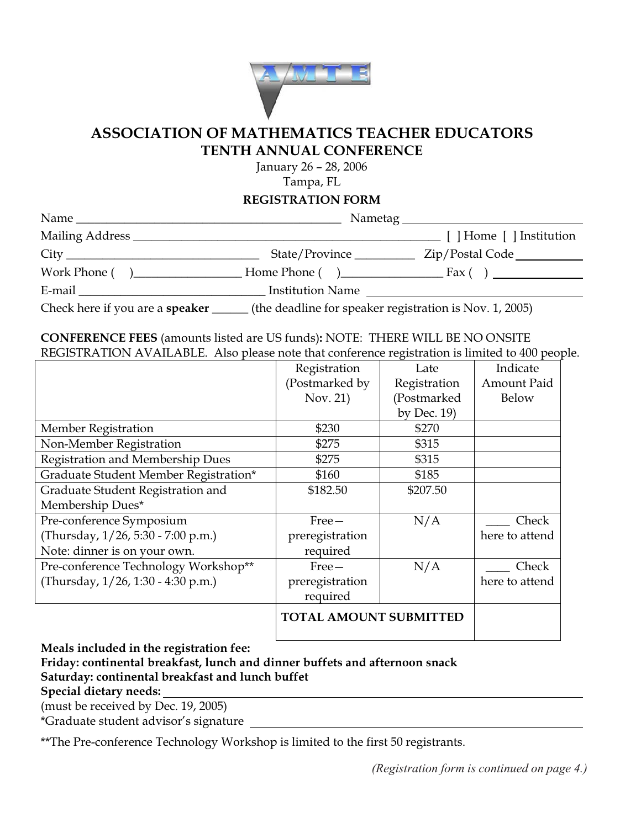

### **ASSOCIATION OF MATHEMATICS TEACHER EDUCATORS TENTH ANNUAL CONFERENCE**

January 26 – 28, 2006

Tampa, FL

**REGISTRATION FORM**

| Name<br><u> 1980 - Jan Sterling von de Sterling von de Sterling von de Sterling von de Sterling von de Sterling von de S</u> |                                                         |                          |
|------------------------------------------------------------------------------------------------------------------------------|---------------------------------------------------------|--------------------------|
|                                                                                                                              |                                                         | [ ] Home [ ] Institution |
|                                                                                                                              | State/Province __________                               | Zip/Postal Code          |
|                                                                                                                              |                                                         |                          |
|                                                                                                                              | Institution Name                                        |                          |
| Check here if you are a <b>speaker</b> _______                                                                               | (the deadline for speaker registration is Nov. 1, 2005) |                          |

### **CONFERENCE FEES** (amounts listed are US funds)**:** NOTE: THERE WILL BE NO ONSITE REGISTRATION AVAILABLE. Also please note that conference registration is limited to 400 people.

|                                       | Registration                  | Late           | Indicate           |
|---------------------------------------|-------------------------------|----------------|--------------------|
|                                       | (Postmarked by                | Registration   | <b>Amount Paid</b> |
|                                       | Nov. 21)                      | (Postmarked    | <b>Below</b>       |
|                                       |                               | by Dec. $19$ ) |                    |
| <b>Member Registration</b>            | \$230                         | \$270          |                    |
| Non-Member Registration               | \$275                         | \$315          |                    |
| Registration and Membership Dues      | \$275                         | \$315          |                    |
| Graduate Student Member Registration* | \$160                         | \$185          |                    |
| Graduate Student Registration and     | \$182.50                      | \$207.50       |                    |
| Membership Dues*                      |                               |                |                    |
| Pre-conference Symposium              | $Free-$                       | N/A            | Check              |
| (Thursday, 1/26, 5:30 - 7:00 p.m.)    | preregistration               |                | here to attend     |
| Note: dinner is on your own.          | required                      |                |                    |
| Pre-conference Technology Workshop**  | $Free-$                       | N/A            | Check              |
| (Thursday, 1/26, 1:30 - 4:30 p.m.)    | preregistration               |                | here to attend     |
|                                       | required                      |                |                    |
|                                       | <b>TOTAL AMOUNT SUBMITTED</b> |                |                    |

**Meals included in the registration fee:** 

### **Friday: continental breakfast, lunch and dinner buffets and afternoon snack Saturday: continental breakfast and lunch buffet**

**Special dietary needs:** 

(must be received by Dec. 19, 2005)

\*Graduate student advisor's signature

\*\*The Pre-conference Technology Workshop is limited to the first 50 registrants.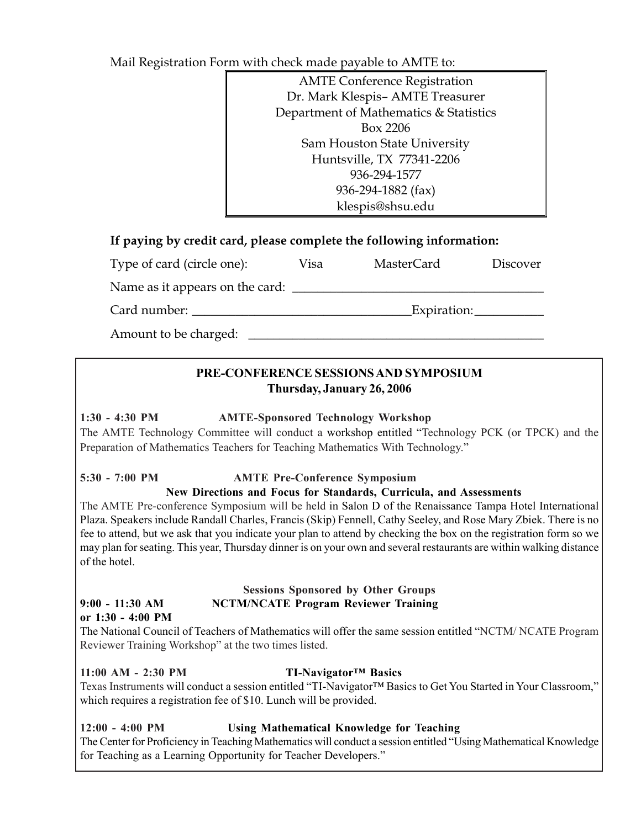Mail Registration Form with check made payable to AMTE to:

| <b>AMTE Conference Registration</b>    |
|----------------------------------------|
| Dr. Mark Klespis- AMTE Treasurer       |
| Department of Mathematics & Statistics |
| Box 2206                               |
| Sam Houston State University           |
| Huntsville, TX 77341-2206              |
| 936-294-1577                           |
| 936-294-1882 (fax)                     |
| klespis@shsu.edu                       |

### **If paying by credit card, please complete the following information:**

| Type of card (circle one):      | Visa | <b>MasterCard</b> | <b>Discover</b> |
|---------------------------------|------|-------------------|-----------------|
| Name as it appears on the card: |      |                   |                 |
| Card number:                    |      | Expiration:       |                 |
| Amount to be charged:           |      |                   |                 |

### **PRE-CONFERENCE SESSIONS AND SYMPOSIUM Thursday, January 26, 2006**

### **1:30 - 4:30 PM AMTE-Sponsored Technology Workshop**

The AMTE Technology Committee will conduct a workshop entitled "Technology PCK (or TPCK) and the Preparation of Mathematics Teachers for Teaching Mathematics With Technology."

### **5:30 - 7:00 PM AMTE Pre-Conference Symposium**

### **New Directions and Focus for Standards, Curricula, and Assessments**

The AMTE Pre-conference Symposium will be held in Salon D of the Renaissance Tampa Hotel International Plaza. Speakers include Randall Charles, Francis (Skip) Fennell, Cathy Seeley, and Rose Mary Zbiek. There is no fee to attend, but we ask that you indicate your plan to attend by checking the box on the registration form so we may plan for seating. This year, Thursday dinner is on your own and several restaurants are within walking distance of the hotel.

#### **Sessions Sponsored by Other Groups 9:00 - 11:30 AM NCTM/NCATE Program Reviewer Training or 1:30 - 4:00 PM**

The National Council of Teachers of Mathematics will offer the same session entitled "NCTM/ NCATE Program Reviewer Training Workshop" at the two times listed.

### **11:00 AM - 2:30 PM TI-Navigator™ Basics**

Texas Instruments will conduct a session entitled "TI-Navigator™ Basics to Get You Started in Your Classroom," which requires a registration fee of \$10. Lunch will be provided.

### **12:00 - 4:00 PM Using Mathematical Knowledge for Teaching**

The Center for Proficiency in Teaching Mathematics will conduct a session entitled "Using Mathematical Knowledge for Teaching as a Learning Opportunity for Teacher Developers."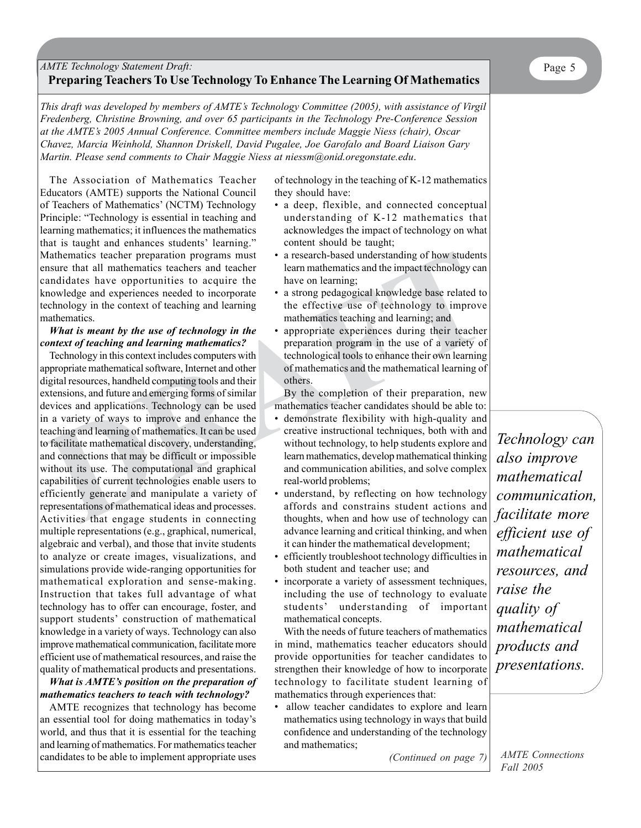### *AMTE Technology Statement Draft:* Page 5 **Preparing Teachers To Use Technology To Enhance The Learning Of Mathematics**

*This draft was developed by members of AMTE's Technology Committee (2005), with assistance of Virgil Fredenberg, Christine Browning, and over 65 participants in the Technology Pre-Conference Session at the AMTE's 2005 Annual Conference. Committee members include Maggie Niess (chair), Oscar Chavez, Marcia Weinhold, Shannon Driskell, David Pugalee, Joe Garofalo and Board Liaison Gary Martin. Please send comments to Chair Maggie Niess at niessm@onid.oregonstate.edu*.

The Association of Mathematics Teacher Educators (AMTE) supports the National Council of Teachers of Mathematics' (NCTM) Technology Principle: "Technology is essential in teaching and learning mathematics; it influences the mathematics that is taught and enhances students' learning." Mathematics teacher preparation programs must ensure that all mathematics teachers and teacher candidates have opportunities to acquire the knowledge and experiences needed to incorporate technology in the context of teaching and learning mathematics.

#### *What is meant by the use of technology in the context of teaching and learning mathematics?*

Mathematics teacher preparation programs must<br>
and all mathematics teacher preparation programs must<br>
nearm anthematics and the impact technology can<br>
candidates have opportunities to acquire the law on learning;<br>
candidat Technology in this context includes computers with appropriate mathematical software, Internet and other digital resources, handheld computing tools and their extensions, and future and emerging forms of similar devices and applications. Technology can be used in a variety of ways to improve and enhance the teaching and learning of mathematics. It can be used to facilitate mathematical discovery, understanding, and connections that may be difficult or impossible without its use. The computational and graphical capabilities of current technologies enable users to efficiently generate and manipulate a variety of representations of mathematical ideas and processes. Activities that engage students in connecting multiple representations (e.g., graphical, numerical, algebraic and verbal), and those that invite students to analyze or create images, visualizations, and simulations provide wide-ranging opportunities for mathematical exploration and sense-making. Instruction that takes full advantage of what technology has to offer can encourage, foster, and support students' construction of mathematical knowledge in a variety of ways. Technology can also improve mathematical communication, facilitate more efficient use of mathematical resources, and raise the quality of mathematical products and presentations.

#### *What is AMTE's position on the preparation of mathematics teachers to teach with technology?*

AMTE recognizes that technology has become an essential tool for doing mathematics in today's world, and thus that it is essential for the teaching and learning of mathematics. For mathematics teacher candidates to be able to implement appropriate uses of technology in the teaching of K-12 mathematics they should have:

- a deep, flexible, and connected conceptual understanding of K-12 mathematics that acknowledges the impact of technology on what content should be taught;
- a research-based understanding of how students learn mathematics and the impact technology can have on learning;
- a strong pedagogical knowledge base related to the effective use of technology to improve mathematics teaching and learning; and
- appropriate experiences during their teacher preparation program in the use of a variety of technological tools to enhance their own learning of mathematics and the mathematical learning of others.

By the completion of their preparation, new mathematics teacher candidates should be able to:

- demonstrate flexibility with high-quality and creative instructional techniques, both with and without technology, to help students explore and learn mathematics, develop mathematical thinking and communication abilities, and solve complex real-world problems;
- understand, by reflecting on how technology affords and constrains student actions and thoughts, when and how use of technology can advance learning and critical thinking, and when it can hinder the mathematical development;
- efficiently troubleshoot technology difficulties in both student and teacher use; and
- incorporate a variety of assessment techniques, including the use of technology to evaluate students' understanding of important mathematical concepts.

With the needs of future teachers of mathematics in mind, mathematics teacher educators should provide opportunities for teacher candidates to strengthen their knowledge of how to incorporate technology to facilitate student learning of mathematics through experiences that:

allow teacher candidates to explore and learn mathematics using technology in ways that build confidence and understanding of the technology and mathematics;

*(Continued on page 7)*

*Technology can also improve mathematical communication, facilitate more efficient use of mathematical resources, and raise the quality of mathematical products and presentations.*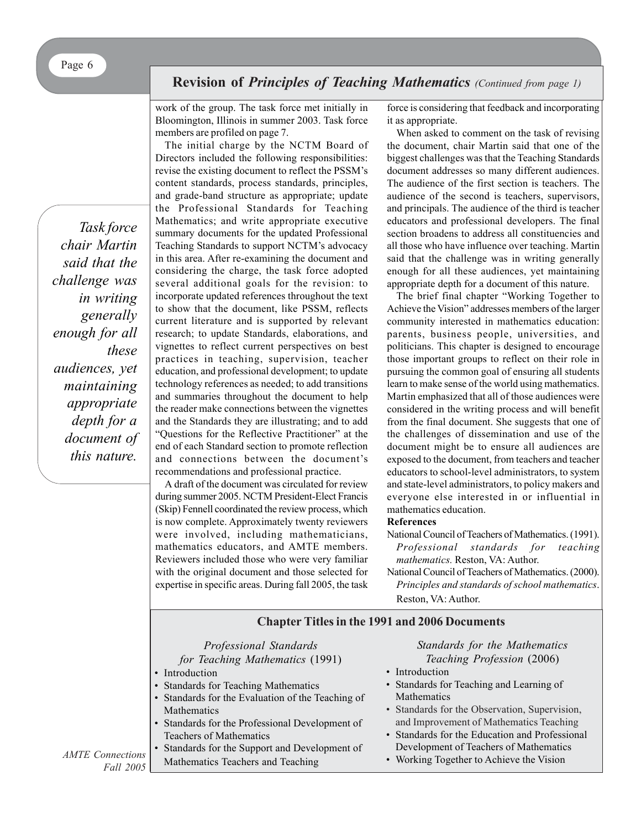## **Revision of** *Principles of Teaching Mathematics (Continued from page 1)*

work of the group. The task force met initially in Bloomington, Illinois in summer 2003. Task force members are profiled on page 7.

*Task force chair Martin said that the challenge was in writing generally enough for all these audiences, yet maintaining appropriate depth for a document of this nature.*

The initial charge by the NCTM Board of Directors included the following responsibilities: revise the existing document to reflect the PSSM's content standards, process standards, principles, and grade-band structure as appropriate; update the Professional Standards for Teaching Mathematics; and write appropriate executive summary documents for the updated Professional Teaching Standards to support NCTM's advocacy in this area. After re-examining the document and considering the charge, the task force adopted several additional goals for the revision: to incorporate updated references throughout the text to show that the document, like PSSM, reflects current literature and is supported by relevant research; to update Standards, elaborations, and vignettes to reflect current perspectives on best practices in teaching, supervision, teacher education, and professional development; to update technology references as needed; to add transitions and summaries throughout the document to help the reader make connections between the vignettes and the Standards they are illustrating; and to add "Questions for the Reflective Practitioner" at the end of each Standard section to promote reflection and connections between the document's recommendations and professional practice.

A draft of the document was circulated for review during summer 2005. NCTM President-Elect Francis (Skip) Fennell coordinated the review process, which is now complete. Approximately twenty reviewers were involved, including mathematicians, mathematics educators, and AMTE members. Reviewers included those who were very familiar with the original document and those selected for expertise in specific areas. During fall 2005, the task

force is considering that feedback and incorporating it as appropriate.

When asked to comment on the task of revising the document, chair Martin said that one of the biggest challenges was that the Teaching Standards document addresses so many different audiences. The audience of the first section is teachers. The audience of the second is teachers, supervisors, and principals. The audience of the third is teacher educators and professional developers. The final section broadens to address all constituencies and all those who have influence over teaching. Martin said that the challenge was in writing generally enough for all these audiences, yet maintaining appropriate depth for a document of this nature.

The brief final chapter "Working Together to Achieve the Vision" addresses members of the larger community interested in mathematics education: parents, business people, universities, and politicians. This chapter is designed to encourage those important groups to reflect on their role in pursuing the common goal of ensuring all students learn to make sense of the world using mathematics. Martin emphasized that all of those audiences were considered in the writing process and will benefit from the final document. She suggests that one of the challenges of dissemination and use of the document might be to ensure all audiences are exposed to the document, from teachers and teacher educators to school-level administrators, to system and state-level administrators, to policy makers and everyone else interested in or influential in mathematics education.

#### **References**

National Council of Teachers of Mathematics. (1991). *Professional standards for teaching mathematics.* Reston, VA: Author.

National Council of Teachers of Mathematics. (2000). *Principles and standards of school mathematics*. Reston, VA: Author.

### **Chapter Titles in the 1991 and 2006 Documents**

### *Professional Standards*

*for Teaching Mathematics* (1991)

- Introduction
- Standards for Teaching Mathematics
- Standards for the Evaluation of the Teaching of Mathematics
- Standards for the Professional Development of Teachers of Mathematics
- Standards for the Support and Development of Mathematics Teachers and Teaching

*Standards for the Mathematics Teaching Profession* (2006)

- Introduction
- Standards for Teaching and Learning of Mathematics
- Standards for the Observation, Supervision, and Improvement of Mathematics Teaching
- Standards for the Education and Professional Development of Teachers of Mathematics
- Working Together to Achieve the Vision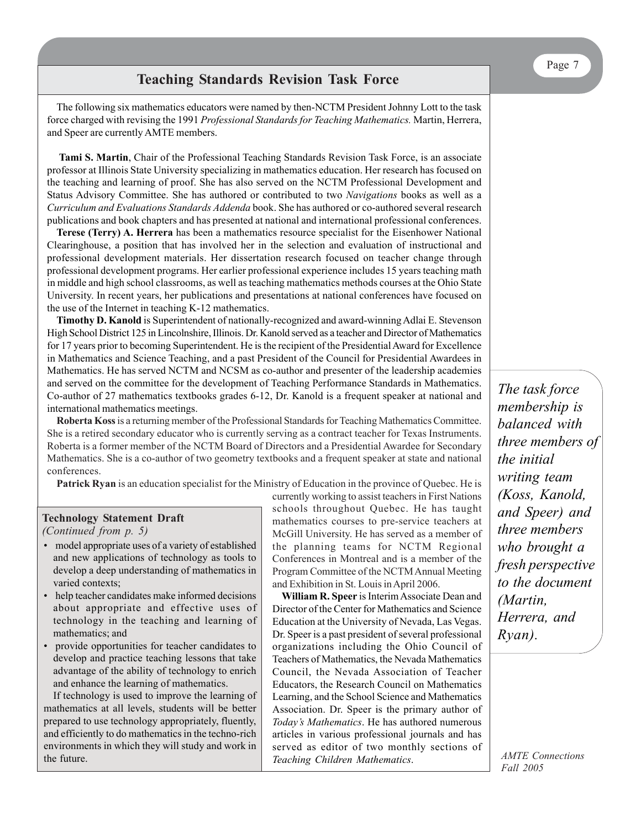The following six mathematics educators were named by then-NCTM President Johnny Lott to the task force charged with revising the 1991 *Professional Standards for Teaching Mathematics.* Martin, Herrera, and Speer are currently AMTE members.

 **Tami S. Martin**, Chair of the Professional Teaching Standards Revision Task Force, is an associate professor at Illinois State University specializing in mathematics education. Her research has focused on the teaching and learning of proof. She has also served on the NCTM Professional Development and Status Advisory Committee. She has authored or contributed to two *Navigations* books as well as a *Curriculum and Evaluations Standards Addenda* book. She has authored or co-authored several research publications and book chapters and has presented at national and international professional conferences.

**Terese (Terry) A. Herrera** has been a mathematics resource specialist for the Eisenhower National Clearinghouse, a position that has involved her in the selection and evaluation of instructional and professional development materials. Her dissertation research focused on teacher change through professional development programs. Her earlier professional experience includes 15 years teaching math in middle and high school classrooms, as well as teaching mathematics methods courses at the Ohio State University. In recent years, her publications and presentations at national conferences have focused on the use of the Internet in teaching K-12 mathematics.

**Timothy D. Kanold** is Superintendent of nationally-recognized and award-winning Adlai E. Stevenson High School District 125 in Lincolnshire, Illinois. Dr. Kanold served as a teacher and Director of Mathematics for 17 years prior to becoming Superintendent. He is the recipient of the Presidential Award for Excellence in Mathematics and Science Teaching, and a past President of the Council for Presidential Awardees in Mathematics. He has served NCTM and NCSM as co-author and presenter of the leadership academies and served on the committee for the development of Teaching Performance Standards in Mathematics. Co-author of 27 mathematics textbooks grades 6-12, Dr. Kanold is a frequent speaker at national and international mathematics meetings.

**Roberta Koss** is a returning member of the Professional Standards for Teaching Mathematics Committee. She is a retired secondary educator who is currently serving as a contract teacher for Texas Instruments. Roberta is a former member of the NCTM Board of Directors and a Presidential Awardee for Secondary Mathematics. She is a co-author of two geometry textbooks and a frequent speaker at state and national conferences.

**Patrick Ryan** is an education specialist for the Ministry of Education in the province of Quebec. He is

#### **Technology Statement Draft** *(Continued from p. 5)*

- model appropriate uses of a variety of established and new applications of technology as tools to develop a deep understanding of mathematics in varied contexts;
- help teacher candidates make informed decisions about appropriate and effective uses of technology in the teaching and learning of mathematics; and
- provide opportunities for teacher candidates to develop and practice teaching lessons that take advantage of the ability of technology to enrich and enhance the learning of mathematics.

If technology is used to improve the learning of mathematics at all levels, students will be better prepared to use technology appropriately, fluently, and efficiently to do mathematics in the techno-rich environments in which they will study and work in the future.

currently working to assist teachers in First Nations schools throughout Quebec. He has taught mathematics courses to pre-service teachers at McGill University. He has served as a member of the planning teams for NCTM Regional Conferences in Montreal and is a member of the Program Committee of the NCTM Annual Meeting and Exhibition in St. Louis in April 2006.

**William R. Speer** is Interim Associate Dean and Director of the Center for Mathematics and Science Education at the University of Nevada, Las Vegas. Dr. Speer is a past president of several professional organizations including the Ohio Council of Teachers of Mathematics, the Nevada Mathematics Council, the Nevada Association of Teacher Educators, the Research Council on Mathematics Learning, and the School Science and Mathematics Association. Dr. Speer is the primary author of *Today's Mathematics*. He has authored numerous articles in various professional journals and has served as editor of two monthly sections of *Teaching Children Mathematics*.

*The task force membership is balanced with three members of the initial writing team (Koss, Kanold, and Speer) and three members who brought a fresh perspective to the document (Martin, Herrera, and Ryan).*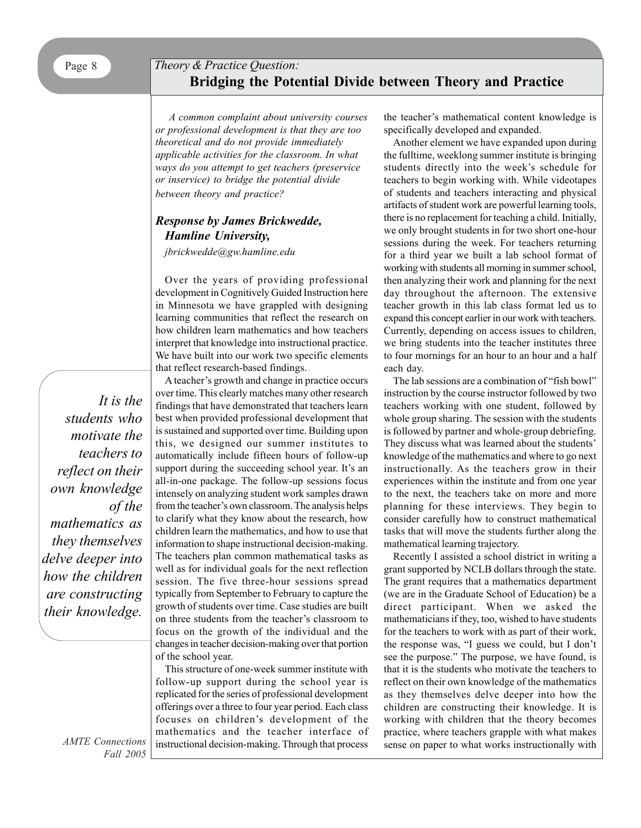## Page 8 *Theory & Practice Question:* **Bridging the Potential Divide between Theory and Practice**

*A common complaint about university courses or professional development is that they are too theoretical and do not provide immediately applicable activities for the classroom. In what ways do you attempt to get teachers (preservice or inservice) to bridge the potential divide between theory and practice?*

### *Response by James Brickwedde, Hamline University,*

*jbrickwedde@gw.hamline.edu*

Over the years of providing professional development in Cognitively Guided Instruction here in Minnesota we have grappled with designing learning communities that reflect the research on how children learn mathematics and how teachers interpret that knowledge into instructional practice. We have built into our work two specific elements that reflect research-based findings.

A teacher's growth and change in practice occurs over time. This clearly matches many other research findings that have demonstrated that teachers learn best when provided professional development that is sustained and supported over time. Building upon this, we designed our summer institutes to automatically include fifteen hours of follow-up support during the succeeding school year. It's an all-in-one package. The follow-up sessions focus intensely on analyzing student work samples drawn from the teacher's own classroom. The analysis helps to clarify what they know about the research, how children learn the mathematics, and how to use that information to shape instructional decision-making. The teachers plan common mathematical tasks as well as for individual goals for the next reflection session. The five three-hour sessions spread typically from September to February to capture the growth of students over time. Case studies are built on three students from the teacher's classroom to focus on the growth of the individual and the changes in teacher decision-making over that portion of the school year.

This structure of one-week summer institute with follow-up support during the school year is replicated for the series of professional development offerings over a three to four year period. Each class focuses on children's development of the mathematics and the teacher interface of instructional decision-making. Through that process the teacher's mathematical content knowledge is specifically developed and expanded.

Another element we have expanded upon during the fulltime, weeklong summer institute is bringing students directly into the week's schedule for teachers to begin working with. While videotapes of students and teachers interacting and physical artifacts of student work are powerful learning tools, there is no replacement for teaching a child. Initially, we only brought students in for two short one-hour sessions during the week. For teachers returning for a third year we built a lab school format of working with students all morning in summer school, then analyzing their work and planning for the next day throughout the afternoon. The extensive teacher growth in this lab class format led us to expand this concept earlier in our work with teachers. Currently, depending on access issues to children, we bring students into the teacher institutes three to four mornings for an hour to an hour and a half each day.

The lab sessions are a combination of "fish bowl" instruction by the course instructor followed by two teachers working with one student, followed by whole group sharing. The session with the students is followed by partner and whole-group debriefing. They discuss what was learned about the students' knowledge of the mathematics and where to go next instructionally. As the teachers grow in their experiences within the institute and from one year to the next, the teachers take on more and more planning for these interviews. They begin to consider carefully how to construct mathematical tasks that will move the students further along the mathematical learning trajectory.

Recently I assisted a school district in writing a grant supported by NCLB dollars through the state. The grant requires that a mathematics department (we are in the Graduate School of Education) be a direct participant. When we asked the mathematicians if they, too, wished to have students for the teachers to work with as part of their work, the response was, "I guess we could, but I don't see the purpose." The purpose, we have found, is that it is the students who motivate the teachers to reflect on their own knowledge of the mathematics as they themselves delve deeper into how the children are constructing their knowledge. It is working with children that the theory becomes practice, where teachers grapple with what makes sense on paper to what works instructionally with

 *It is the students who motivate the teachers to reflect on their own knowledge of the mathematics as they themselves delve deeper into how the children are constructing their knowledge.*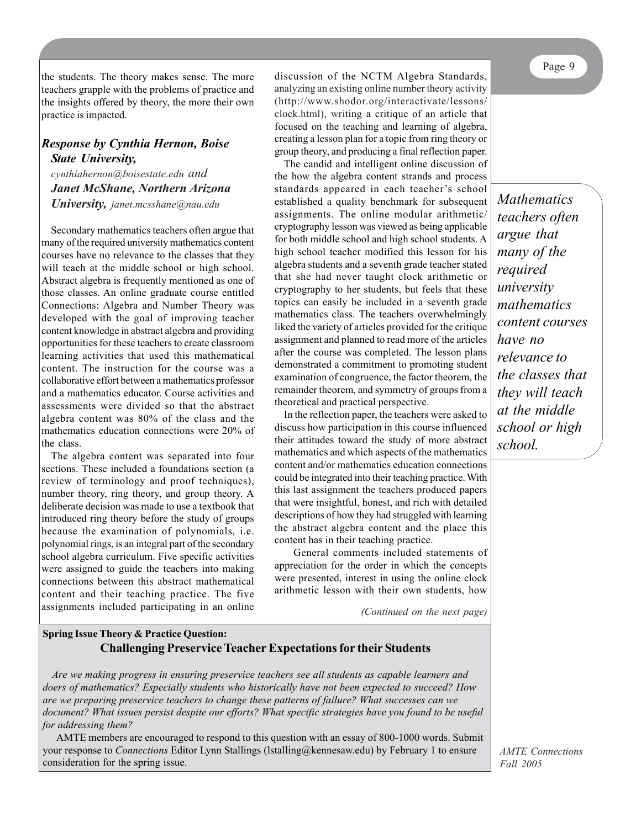the students. The theory makes sense. The more teachers grapple with the problems of practice and the insights offered by theory, the more their own practice is impacted.

### *Response by Cynthia Hernon, Boise State University,*

*cynthiahernon@boisestate.edu and Janet McShane, Northern Arizona University, janet.mcsshane@nau.edu*

Secondary mathematics teachers often argue that many of the required university mathematics content courses have no relevance to the classes that they will teach at the middle school or high school. Abstract algebra is frequently mentioned as one of those classes. An online graduate course entitled Connections: Algebra and Number Theory was developed with the goal of improving teacher content knowledge in abstract algebra and providing opportunities for these teachers to create classroom learning activities that used this mathematical content. The instruction for the course was a collaborative effort between a mathematics professor and a mathematics educator. Course activities and assessments were divided so that the abstract algebra content was 80% of the class and the mathematics education connections were 20% of the class.

The algebra content was separated into four sections. These included a foundations section (a review of terminology and proof techniques), number theory, ring theory, and group theory. A deliberate decision was made to use a textbook that introduced ring theory before the study of groups because the examination of polynomials, i.e. polynomial rings, is an integral part of the secondary school algebra curriculum. Five specific activities were assigned to guide the teachers into making connections between this abstract mathematical content and their teaching practice. The five assignments included participating in an online

discussion of the NCTM Algebra Standards, analyzing an existing online number theory activity (http://www.shodor.org/interactivate/lessons/ clock.html), writing a critique of an article that focused on the teaching and learning of algebra, creating a lesson plan for a topic from ring theory or group theory, and producing a final reflection paper.

The candid and intelligent online discussion of the how the algebra content strands and process standards appeared in each teacher's school established a quality benchmark for subsequent assignments. The online modular arithmetic/ cryptography lesson was viewed as being applicable for both middle school and high school students. A high school teacher modified this lesson for his algebra students and a seventh grade teacher stated that she had never taught clock arithmetic or cryptography to her students, but feels that these topics can easily be included in a seventh grade mathematics class. The teachers overwhelmingly liked the variety of articles provided for the critique assignment and planned to read more of the articles after the course was completed. The lesson plans demonstrated a commitment to promoting student examination of congruence, the factor theorem, the remainder theorem, and symmetry of groups from a theoretical and practical perspective.

In the reflection paper, the teachers were asked to discuss how participation in this course influenced their attitudes toward the study of more abstract mathematics and which aspects of the mathematics content and/or mathematics education connections could be integrated into their teaching practice. With this last assignment the teachers produced papers that were insightful, honest, and rich with detailed descriptions of how they had struggled with learning the abstract algebra content and the place this content has in their teaching practice.

General comments included statements of appreciation for the order in which the concepts were presented, interest in using the online clock arithmetic lesson with their own students, how

*(Continued on the next page)*

### **October's Theory & Practice Question: Spring Issue Theory & Practice Question: Challenging Preservice Teacher Expectations for their Students**

*A common complaint about university courses or professional development is that they are too Are we making progress in ensuring preservice teachers see all students as capable learners and theoretical and do not provide immediately applicable activities for the classroom. In what ways do doers of mathematics? Especially students who historically have not been expected to succeed? How you attempt to get teachers (preservice or inservice) to bridge the potential divide between theory and are we preparing preservice teachers to change these patterns of failure? What successes can we practice? document? What issues persist despite our efforts? What specific strategies have you found to be useful for addressing them?*

AMTE members are encouraged to respond to this question with an essay of 600-1000 words. Submit AMTE members are encouraged to respond to this question with an essay of 800-1000 words. Submit your response to *Connections* Editor Lynn Stallings (Istalling@kennesaw.edu) by February 1 to ensure consideration for the spring issue.

*Mathematics teachers often argue that many of the required university mathematics content courses have no relevance to the classes that they will teach at the middle school or high school.*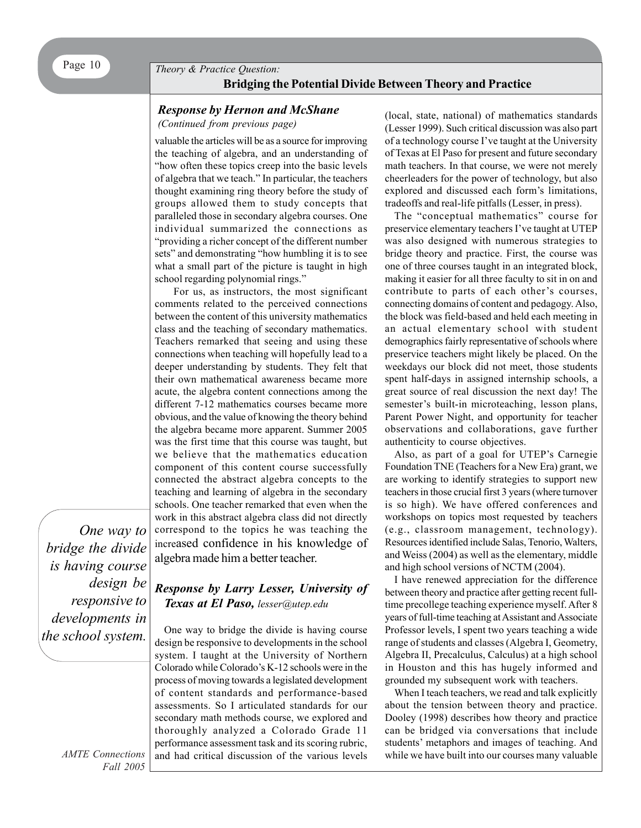Page 10 **Theory & Practice Question: Bridging the Potential Divide Between Theory and Practice**

### *Response by Hernon and McShane*

*(Continued from previous page)*

valuable the articles will be as a source for improving the teaching of algebra, and an understanding of "how often these topics creep into the basic levels of algebra that we teach." In particular, the teachers thought examining ring theory before the study of groups allowed them to study concepts that paralleled those in secondary algebra courses. One individual summarized the connections as "providing a richer concept of the different number sets" and demonstrating "how humbling it is to see what a small part of the picture is taught in high school regarding polynomial rings."

For us, as instructors, the most significant comments related to the perceived connections between the content of this university mathematics class and the teaching of secondary mathematics. Teachers remarked that seeing and using these connections when teaching will hopefully lead to a deeper understanding by students. They felt that their own mathematical awareness became more acute, the algebra content connections among the different 7-12 mathematics courses became more obvious, and the value of knowing the theory behind the algebra became more apparent. Summer 2005 was the first time that this course was taught, but we believe that the mathematics education component of this content course successfully connected the abstract algebra concepts to the teaching and learning of algebra in the secondary schools. One teacher remarked that even when the work in this abstract algebra class did not directly correspond to the topics he was teaching the increased confidence in his knowledge of algebra made him a better teacher.

*One way to bridge the divide is having course design be responsive to developments in the school system.*

### *Response by Larry Lesser, University of Texas at El Paso, lesser@utep.edu*

One way to bridge the divide is having course design be responsive to developments in the school system. I taught at the University of Northern Colorado while Colorado's K-12 schools were in the process of moving towards a legislated development of content standards and performance-based assessments. So I articulated standards for our secondary math methods course, we explored and thoroughly analyzed a Colorado Grade 11 performance assessment task and its scoring rubric, and had critical discussion of the various levels (local, state, national) of mathematics standards (Lesser 1999). Such critical discussion was also part of a technology course I've taught at the University of Texas at El Paso for present and future secondary math teachers. In that course, we were not merely cheerleaders for the power of technology, but also explored and discussed each form's limitations, tradeoffs and real-life pitfalls (Lesser, in press).

The "conceptual mathematics" course for preservice elementary teachers I've taught at UTEP was also designed with numerous strategies to bridge theory and practice. First, the course was one of three courses taught in an integrated block, making it easier for all three faculty to sit in on and contribute to parts of each other's courses, connecting domains of content and pedagogy. Also, the block was field-based and held each meeting in an actual elementary school with student demographics fairly representative of schools where preservice teachers might likely be placed. On the weekdays our block did not meet, those students spent half-days in assigned internship schools, a great source of real discussion the next day! The semester's built-in microteaching, lesson plans, Parent Power Night, and opportunity for teacher observations and collaborations, gave further authenticity to course objectives.

Also, as part of a goal for UTEP's Carnegie Foundation TNE (Teachers for a New Era) grant, we are working to identify strategies to support new teachers in those crucial first 3 years (where turnover is so high). We have offered conferences and workshops on topics most requested by teachers (e.g., classroom management, technology). Resources identified include Salas, Tenorio, Walters, and Weiss (2004) as well as the elementary, middle and high school versions of NCTM (2004).

I have renewed appreciation for the difference between theory and practice after getting recent fulltime precollege teaching experience myself. After 8 years of full-time teaching at Assistant and Associate Professor levels, I spent two years teaching a wide range of students and classes (Algebra I, Geometry, Algebra II, Precalculus, Calculus) at a high school in Houston and this has hugely informed and grounded my subsequent work with teachers.

When I teach teachers, we read and talk explicitly about the tension between theory and practice. Dooley (1998) describes how theory and practice can be bridged via conversations that include students' metaphors and images of teaching. And while we have built into our courses many valuable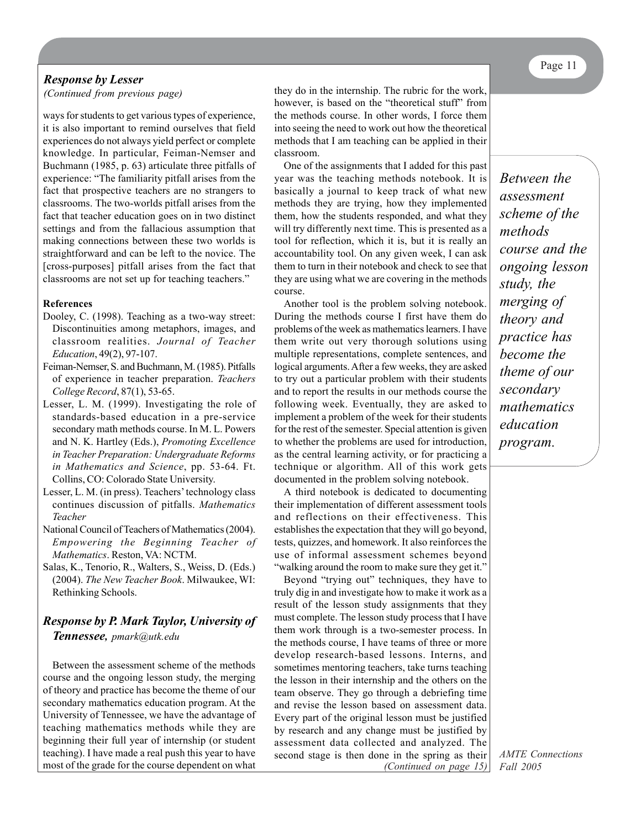### *Response by Lesser*

ways for students to get various types of experience, it is also important to remind ourselves that field experiences do not always yield perfect or complete knowledge. In particular, Feiman-Nemser and Buchmann (1985, p. 63) articulate three pitfalls of experience: "The familiarity pitfall arises from the fact that prospective teachers are no strangers to classrooms. The two-worlds pitfall arises from the fact that teacher education goes on in two distinct settings and from the fallacious assumption that making connections between these two worlds is straightforward and can be left to the novice. The [cross-purposes] pitfall arises from the fact that classrooms are not set up for teaching teachers."

#### **References**

- Dooley, C. (1998). Teaching as a two-way street: Discontinuities among metaphors, images, and classroom realities. *Journal of Teacher Education*, 49(2), 97-107.
- Feiman-Nemser, S. and Buchmann, M. (1985). Pitfalls of experience in teacher preparation. *Teachers College Record*, 87(1), 53-65.
- Lesser, L. M. (1999). Investigating the role of standards-based education in a pre-service secondary math methods course. In M. L. Powers and N. K. Hartley (Eds.), *Promoting Excellence in Teacher Preparation: Undergraduate Reforms in Mathematics and Science*, pp. 53-64. Ft. Collins, CO: Colorado State University.
- Lesser, L. M. (in press). Teachers' technology class continues discussion of pitfalls. *Mathematics Teacher*
- National Council of Teachers of Mathematics (2004). *Empowering the Beginning Teacher of Mathematics*. Reston, VA: NCTM.
- Salas, K., Tenorio, R., Walters, S., Weiss, D. (Eds.) (2004). *The New Teacher Book*. Milwaukee, WI: Rethinking Schools.

### *Response by P. Mark Taylor, University of Tennessee, pmark@utk.edu*

Between the assessment scheme of the methods course and the ongoing lesson study, the merging of theory and practice has become the theme of our secondary mathematics education program. At the University of Tennessee, we have the advantage of teaching mathematics methods while they are beginning their full year of internship (or student teaching). I have made a real push this year to have most of the grade for the course dependent on what

*(Continued from previous page)* they do in the internship. The rubric for the work, however, is based on the "theoretical stuff" from the methods course. In other words, I force them into seeing the need to work out how the theoretical methods that I am teaching can be applied in their classroom.

> One of the assignments that I added for this past year was the teaching methods notebook. It is basically a journal to keep track of what new methods they are trying, how they implemented them, how the students responded, and what they will try differently next time. This is presented as a tool for reflection, which it is, but it is really an accountability tool. On any given week, I can ask them to turn in their notebook and check to see that they are using what we are covering in the methods course.

> Another tool is the problem solving notebook. During the methods course I first have them do problems of the week as mathematics learners. I have them write out very thorough solutions using multiple representations, complete sentences, and logical arguments. After a few weeks, they are asked to try out a particular problem with their students and to report the results in our methods course the following week. Eventually, they are asked to implement a problem of the week for their students for the rest of the semester. Special attention is given to whether the problems are used for introduction, as the central learning activity, or for practicing a technique or algorithm. All of this work gets documented in the problem solving notebook.

A third notebook is dedicated to documenting their implementation of different assessment tools and reflections on their effectiveness. This establishes the expectation that they will go beyond, tests, quizzes, and homework. It also reinforces the use of informal assessment schemes beyond "walking around the room to make sure they get it."

*(Continued on page 15)* Beyond "trying out" techniques, they have to truly dig in and investigate how to make it work as a result of the lesson study assignments that they must complete. The lesson study process that I have them work through is a two-semester process. In the methods course, I have teams of three or more develop research-based lessons. Interns, and sometimes mentoring teachers, take turns teaching the lesson in their internship and the others on the team observe. They go through a debriefing time and revise the lesson based on assessment data. Every part of the original lesson must be justified by research and any change must be justified by assessment data collected and analyzed. The second stage is then done in the spring as their

*Between the assessment scheme of the methods course and the ongoing lesson study, the merging of theory and practice has become the theme of our secondary mathematics education program.*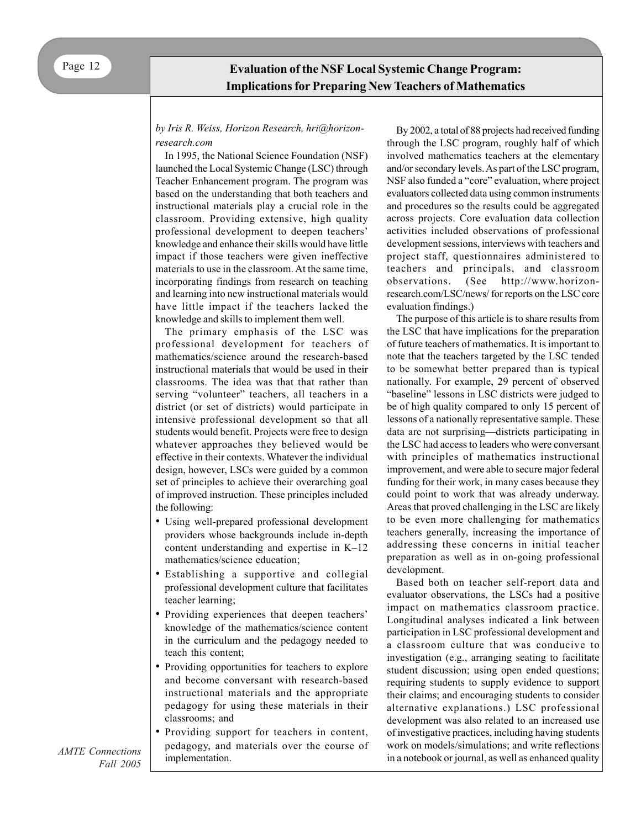### **Evaluation of the NSF Local Systemic Change Program: Implications for Preparing New Teachers of Mathematics**

#### *by Iris R. Weiss, Horizon Research, hri@horizonresearch.com*

In 1995, the National Science Foundation (NSF) launched the Local Systemic Change (LSC) through Teacher Enhancement program. The program was based on the understanding that both teachers and instructional materials play a crucial role in the classroom. Providing extensive, high quality professional development to deepen teachers' knowledge and enhance their skills would have little impact if those teachers were given ineffective materials to use in the classroom. At the same time, incorporating findings from research on teaching and learning into new instructional materials would have little impact if the teachers lacked the knowledge and skills to implement them well.

The primary emphasis of the LSC was professional development for teachers of mathematics/science around the research-based instructional materials that would be used in their classrooms. The idea was that that rather than serving "volunteer" teachers, all teachers in a district (or set of districts) would participate in intensive professional development so that all students would benefit. Projects were free to design whatever approaches they believed would be effective in their contexts. Whatever the individual design, however, LSCs were guided by a common set of principles to achieve their overarching goal of improved instruction. These principles included the following:

- Using well-prepared professional development providers whose backgrounds include in-depth content understanding and expertise in K–12 mathematics/science education;
- Establishing a supportive and collegial professional development culture that facilitates teacher learning;
- Providing experiences that deepen teachers' knowledge of the mathematics/science content in the curriculum and the pedagogy needed to teach this content;
- Providing opportunities for teachers to explore and become conversant with research-based instructional materials and the appropriate pedagogy for using these materials in their classrooms; and
- Providing support for teachers in content, pedagogy, and materials over the course of implementation.

By 2002, a total of 88 projects had received funding through the LSC program, roughly half of which involved mathematics teachers at the elementary and/or secondary levels. As part of the LSC program, NSF also funded a "core" evaluation, where project evaluators collected data using common instruments and procedures so the results could be aggregated across projects. Core evaluation data collection activities included observations of professional development sessions, interviews with teachers and project staff, questionnaires administered to teachers and principals, and classroom observations. (See http://www.horizonresearch.com/LSC/news/ for reports on the LSC core evaluation findings.)

The purpose of this article is to share results from the LSC that have implications for the preparation of future teachers of mathematics. It is important to note that the teachers targeted by the LSC tended to be somewhat better prepared than is typical nationally. For example, 29 percent of observed "baseline" lessons in LSC districts were judged to be of high quality compared to only 15 percent of lessons of a nationally representative sample. These data are not surprising—districts participating in the LSC had access to leaders who were conversant with principles of mathematics instructional improvement, and were able to secure major federal funding for their work, in many cases because they could point to work that was already underway. Areas that proved challenging in the LSC are likely to be even more challenging for mathematics teachers generally, increasing the importance of addressing these concerns in initial teacher preparation as well as in on-going professional development.

Based both on teacher self-report data and evaluator observations, the LSCs had a positive impact on mathematics classroom practice. Longitudinal analyses indicated a link between participation in LSC professional development and a classroom culture that was conducive to investigation (e.g., arranging seating to facilitate student discussion; using open ended questions; requiring students to supply evidence to support their claims; and encouraging students to consider alternative explanations.) LSC professional development was also related to an increased use of investigative practices, including having students work on models/simulations; and write reflections in a notebook or journal, as well as enhanced quality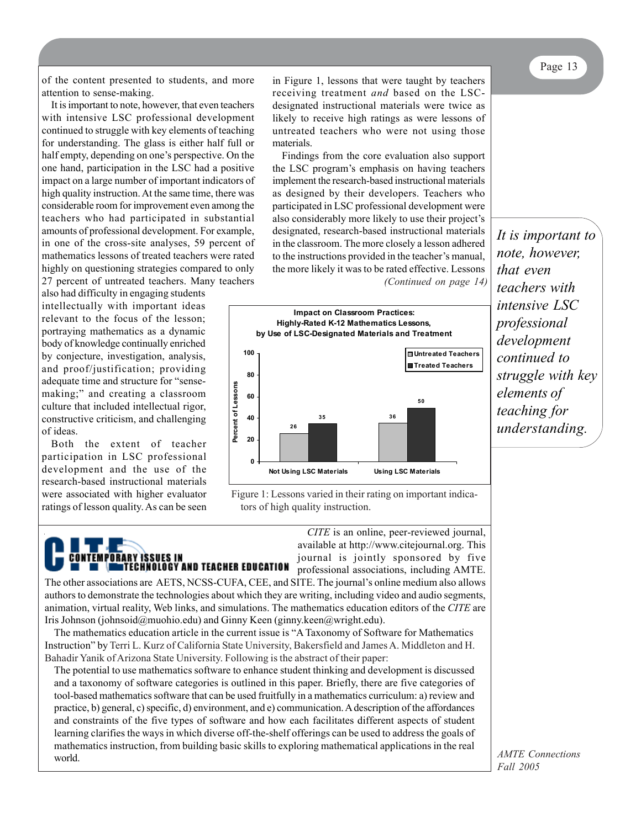Page 13

of the content presented to students, and more attention to sense-making.

It is important to note, however, that even teachers with intensive LSC professional development continued to struggle with key elements of teaching for understanding. The glass is either half full or half empty, depending on one's perspective. On the one hand, participation in the LSC had a positive impact on a large number of important indicators of high quality instruction. At the same time, there was considerable room for improvement even among the teachers who had participated in substantial amounts of professional development. For example, in one of the cross-site analyses, 59 percent of mathematics lessons of treated teachers were rated highly on questioning strategies compared to only 27 percent of untreated teachers. Many teachers

also had difficulty in engaging students intellectually with important ideas relevant to the focus of the lesson; portraying mathematics as a dynamic body of knowledge continually enriched by conjecture, investigation, analysis, and proof/justification; providing adequate time and structure for "sensemaking;" and creating a classroom culture that included intellectual rigor, constructive criticism, and challenging of ideas.

Both the extent of teacher participation in LSC professional development and the use of the research-based instructional materials were associated with higher evaluator ratings of lesson quality. As can be seen

CONTEMPORARY ISSUES IN

in Figure 1, lessons that were taught by teachers receiving treatment *and* based on the LSCdesignated instructional materials were twice as likely to receive high ratings as were lessons of untreated teachers who were not using those materials.

Findings from the core evaluation also support the LSC program's emphasis on having teachers implement the research-based instructional materials as designed by their developers. Teachers who participated in LSC professional development were also considerably more likely to use their project's designated, research-based instructional materials in the classroom. The more closely a lesson adhered to the instructions provided in the teacher's manual, the more likely it was to be rated effective. Lessons *(Continued on page 14)*



Figure 1: Lessons varied in their rating on important indicators of high quality instruction.

> *CITE* is an online, peer-reviewed journal, available at http://www.citejournal.org. This journal is jointly sponsored by five professional associations, including AMTE.

The other associations are AETS, NCSS-CUFA, CEE, and SITE. The journal's online medium also allows authors to demonstrate the technologies about which they are writing, including video and audio segments, animation, virtual reality, Web links, and simulations. The mathematics education editors of the *CITE* are Iris Johnson (johnsoid@muohio.edu) and Ginny Keen (ginny.keen@wright.edu).

**INTECHNOLOGY AND TEACHER EDUCATION** 

The mathematics education article in the current issue is "A Taxonomy of Software for Mathematics Instruction" by Terri L. Kurz of California State University, Bakersfield and James A. Middleton and H. Bahadir Yanik of Arizona State University. Following is the abstract of their paper:

The potential to use mathematics software to enhance student thinking and development is discussed and a taxonomy of software categories is outlined in this paper. Briefly, there are five categories of tool-based mathematics software that can be used fruitfully in a mathematics curriculum: a) review and practice, b) general, c) specific, d) environment, and e) communication. A description of the affordances and constraints of the five types of software and how each facilitates different aspects of student learning clarifies the ways in which diverse off-the-shelf offerings can be used to address the goals of mathematics instruction, from building basic skills to exploring mathematical applications in the real world.

*It is important to note, however, that even teachers with intensive LSC professional development continued to struggle with key elements of teaching for understanding.*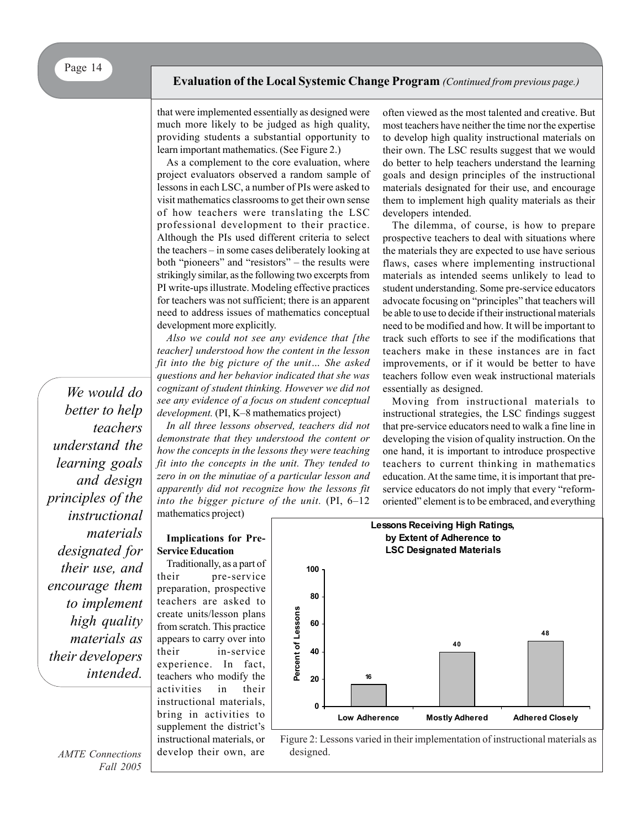that were implemented essentially as designed were much more likely to be judged as high quality, providing students a substantial opportunity to learn important mathematics. (See Figure 2.)

As a complement to the core evaluation, where project evaluators observed a random sample of lessons in each LSC, a number of PIs were asked to visit mathematics classrooms to get their own sense of how teachers were translating the LSC professional development to their practice. Although the PIs used different criteria to select the teachers – in some cases deliberately looking at both "pioneers" and "resistors" – the results were strikingly similar, as the following two excerpts from PI write-ups illustrate. Modeling effective practices for teachers was not sufficient; there is an apparent need to address issues of mathematics conceptual development more explicitly.

*Also we could not see any evidence that [the teacher] understood how the content in the lesson fit into the big picture of the unit… She asked questions and her behavior indicated that she was cognizant of student thinking. However we did not see any evidence of a focus on student conceptual development.* (PI, K–8 mathematics project)

*In all three lessons observed, teachers did not demonstrate that they understood the content or how the concepts in the lessons they were teaching fit into the concepts in the unit. They tended to zero in on the minutiae of a particular lesson and apparently did not recognize how the lessons fit into the bigger picture of the unit.* (PI, 6–12 mathematics project)

often viewed as the most talented and creative. But most teachers have neither the time nor the expertise to develop high quality instructional materials on their own. The LSC results suggest that we would do better to help teachers understand the learning goals and design principles of the instructional materials designated for their use, and encourage them to implement high quality materials as their developers intended.

The dilemma, of course, is how to prepare prospective teachers to deal with situations where the materials they are expected to use have serious flaws, cases where implementing instructional materials as intended seems unlikely to lead to student understanding. Some pre-service educators advocate focusing on "principles" that teachers will be able to use to decide if their instructional materials need to be modified and how. It will be important to track such efforts to see if the modifications that teachers make in these instances are in fact improvements, or if it would be better to have teachers follow even weak instructional materials essentially as designed.

Moving from instructional materials to instructional strategies, the LSC findings suggest that pre-service educators need to walk a fine line in developing the vision of quality instruction. On the one hand, it is important to introduce prospective teachers to current thinking in mathematics education. At the same time, it is important that preservice educators do not imply that every "reformoriented" element is to be embraced, and everything

*better to help teachers understand the learning goals and design principles of the instructional materials designated for their use, and encourage them to implement high quality materials as their developers intended.*

*We would do*

*AMTE Connections*

*Fall 2005*

**Implications for Pre-Service Education**

Traditionally, as a part of their pre-service preparation, prospective teachers are asked to create units/lesson plans from scratch. This practice appears to carry over into their in-service experience. In fact, teachers who modify the activities in their instructional materials, bring in activities to supplement the district's instructional materials, or develop their own, are



Figure 2: Lessons varied in their implementation of instructional materials as designed.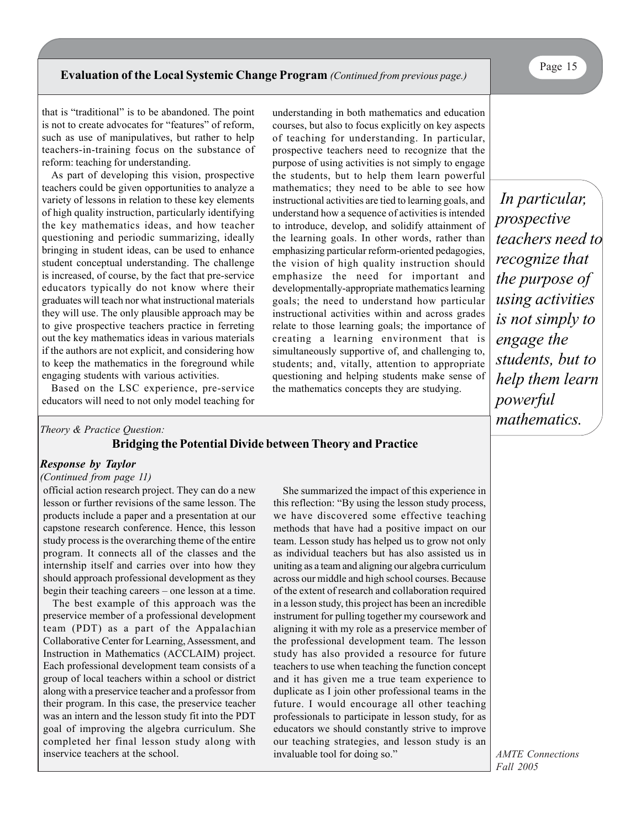that is "traditional" is to be abandoned. The point is not to create advocates for "features" of reform, such as use of manipulatives, but rather to help teachers-in-training focus on the substance of reform: teaching for understanding.

As part of developing this vision, prospective teachers could be given opportunities to analyze a variety of lessons in relation to these key elements of high quality instruction, particularly identifying the key mathematics ideas, and how teacher questioning and periodic summarizing, ideally bringing in student ideas, can be used to enhance student conceptual understanding. The challenge is increased, of course, by the fact that pre-service educators typically do not know where their graduates will teach nor what instructional materials they will use. The only plausible approach may be to give prospective teachers practice in ferreting out the key mathematics ideas in various materials if the authors are not explicit, and considering how to keep the mathematics in the foreground while engaging students with various activities.

Based on the LSC experience, pre-service educators will need to not only model teaching for

**Bridging the Potential Divide between Theory and Practice**

#### *Response by Taylor*

#### *(Continued from page 11)*

*Theory & Practice Question:*

official action research project. They can do a new lesson or further revisions of the same lesson. The products include a paper and a presentation at our capstone research conference. Hence, this lesson study process is the overarching theme of the entire program. It connects all of the classes and the internship itself and carries over into how they should approach professional development as they begin their teaching careers – one lesson at a time.

The best example of this approach was the preservice member of a professional development team (PDT) as a part of the Appalachian Collaborative Center for Learning, Assessment, and Instruction in Mathematics (ACCLAIM) project. Each professional development team consists of a group of local teachers within a school or district along with a preservice teacher and a professor from their program. In this case, the preservice teacher was an intern and the lesson study fit into the PDT goal of improving the algebra curriculum. She completed her final lesson study along with inservice teachers at the school.

She summarized the impact of this experience in this reflection: "By using the lesson study process, we have discovered some effective teaching methods that have had a positive impact on our team. Lesson study has helped us to grow not only as individual teachers but has also assisted us in uniting as a team and aligning our algebra curriculum across our middle and high school courses. Because of the extent of research and collaboration required in a lesson study, this project has been an incredible instrument for pulling together my coursework and aligning it with my role as a preservice member of the professional development team. The lesson study has also provided a resource for future teachers to use when teaching the function concept and it has given me a true team experience to duplicate as I join other professional teams in the future. I would encourage all other teaching professionals to participate in lesson study, for as educators we should constantly strive to improve our teaching strategies, and lesson study is an invaluable tool for doing so."

understanding in both mathematics and education courses, but also to focus explicitly on key aspects of teaching for understanding. In particular, prospective teachers need to recognize that the purpose of using activities is not simply to engage the students, but to help them learn powerful mathematics; they need to be able to see how instructional activities are tied to learning goals, and understand how a sequence of activities is intended to introduce, develop, and solidify attainment of the learning goals. In other words, rather than emphasizing particular reform-oriented pedagogies, the vision of high quality instruction should emphasize the need for important and developmentally-appropriate mathematics learning goals; the need to understand how particular instructional activities within and across grades relate to those learning goals; the importance of creating a learning environment that is simultaneously supportive of, and challenging to, students; and, vitally, attention to appropriate questioning and helping students make sense of the mathematics concepts they are studying.

 *In particular, prospective teachers need to recognize that the purpose of using activities is not simply to engage the students, but to help them learn powerful mathematics.*